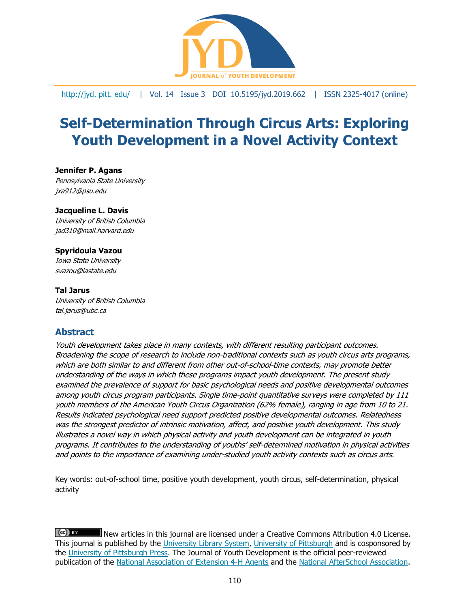

[http://jyd. pitt. edu/](http://jyd.pitt.edu/) | Vol. 14 Issue 3 DOI 10.5195/jyd.2019.662 | ISSN 2325-4017 (online)

# **Self-Determination Through Circus Arts: Exploring Youth Development in a Novel Activity Context**

**Jennifer P. Agans** Pennsylvania State University jxa912@psu.edu

#### **Jacqueline L. Davis**

University of British Columbia jad310@mail.harvard.edu

#### **Spyridoula Vazou**

Iowa State University svazou@iastate.edu

#### **Tal Jarus**

University of British Columbia tal.jarus@ubc.ca

## **Abstract**

Youth development takes place in many contexts, with different resulting participant outcomes. Broadening the scope of research to include non-traditional contexts such as youth circus arts programs, which are both similar to and different from other out-of-school-time contexts, may promote better understanding of the ways in which these programs impact youth development. The present study examined the prevalence of support for basic psychological needs and positive developmental outcomes among youth circus program participants. Single time-point quantitative surveys were completed by 111 youth members of the American Youth Circus Organization (62% female), ranging in age from 10 to 21. Results indicated psychological need support predicted positive developmental outcomes. Relatedness was the strongest predictor of intrinsic motivation, affect, and positive youth development. This study illustrates a novel way in which physical activity and youth development can be integrated in youth programs. It contributes to the understanding of youths' self-determined motivation in physical activities and points to the importance of examining under-studied youth activity contexts such as circus arts.

Key words: out-of-school time, positive youth development, youth circus, self-determination, physical activity

 $(cc)$  BY New articles in this journal are licensed under a Creative Commons Attribution 4.0 License. This journal is published by the [University Library System,](http://www.library.pitt.edu/) [University of Pittsburgh](http://www.pitt.edu/) and is cosponsored by the [University of Pittsburgh Press.](http://www.upress.pitt.edu/upressIndex.aspx) The Journal of Youth Development is the official peer-reviewed publication of the [National Association of Extension 4-H Agents](http://www.nae4ha.com/) and the [National AfterSchool Association.](http://naaweb.org/)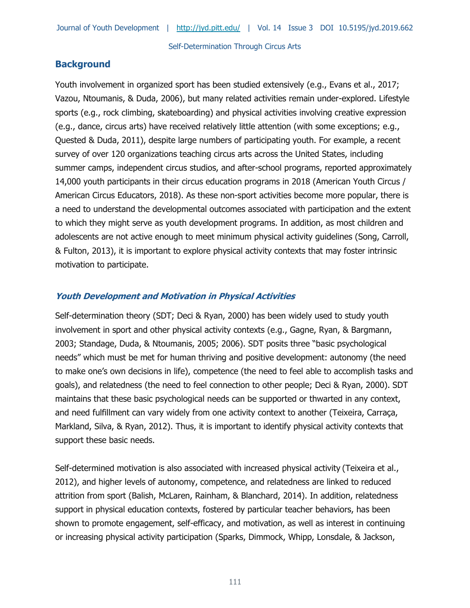## **Background**

Youth involvement in organized sport has been studied extensively (e.g., Evans et al., 2017; Vazou, Ntoumanis, & Duda, 2006), but many related activities remain under-explored. Lifestyle sports (e.g., rock climbing, skateboarding) and physical activities involving creative expression (e.g., dance, circus arts) have received relatively little attention (with some exceptions; e.g., Quested & Duda, 2011), despite large numbers of participating youth. For example, a recent survey of over 120 organizations teaching circus arts across the United States, including summer camps, independent circus studios, and after-school programs, reported approximately 14,000 youth participants in their circus education programs in 2018 (American Youth Circus / American Circus Educators, 2018). As these non-sport activities become more popular, there is a need to understand the developmental outcomes associated with participation and the extent to which they might serve as youth development programs. In addition, as most children and adolescents are not active enough to meet minimum physical activity guidelines (Song, Carroll, & Fulton, 2013), it is important to explore physical activity contexts that may foster intrinsic motivation to participate.

#### **Youth Development and Motivation in Physical Activities**

Self-determination theory (SDT; Deci & Ryan, 2000) has been widely used to study youth involvement in sport and other physical activity contexts (e.g., Gagne, Ryan, & Bargmann, 2003; Standage, Duda, & Ntoumanis, 2005; 2006). SDT posits three "basic psychological needs" which must be met for human thriving and positive development: autonomy (the need to make one's own decisions in life), competence (the need to feel able to accomplish tasks and goals), and relatedness (the need to feel connection to other people; Deci & Ryan, 2000). SDT maintains that these basic psychological needs can be supported or thwarted in any context, and need fulfillment can vary widely from one activity context to another (Teixeira, Carraça, Markland, Silva, & Ryan, 2012). Thus, it is important to identify physical activity contexts that support these basic needs.

Self-determined motivation is also associated with increased physical activity (Teixeira et al., 2012), and higher levels of autonomy, competence, and relatedness are linked to reduced attrition from sport (Balish, McLaren, Rainham, & Blanchard, 2014). In addition, relatedness support in physical education contexts, fostered by particular teacher behaviors, has been shown to promote engagement, self-efficacy, and motivation, as well as interest in continuing or increasing physical activity participation (Sparks, Dimmock, Whipp, Lonsdale, & Jackson,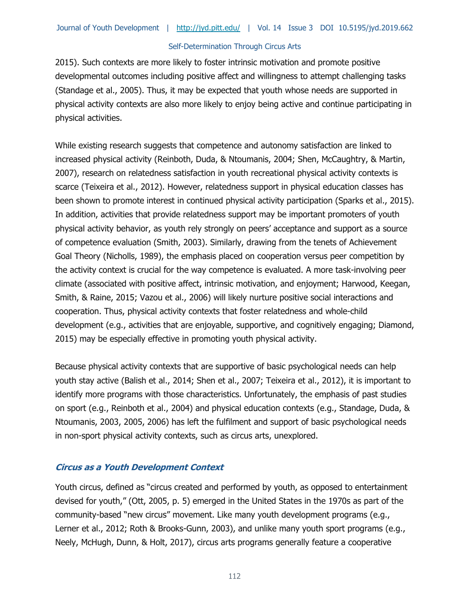2015). Such contexts are more likely to foster intrinsic motivation and promote positive developmental outcomes including positive affect and willingness to attempt challenging tasks (Standage et al., 2005). Thus, it may be expected that youth whose needs are supported in physical activity contexts are also more likely to enjoy being active and continue participating in physical activities.

While existing research suggests that competence and autonomy satisfaction are linked to increased physical activity (Reinboth, Duda, & Ntoumanis, 2004; Shen, McCaughtry, & Martin, 2007), research on relatedness satisfaction in youth recreational physical activity contexts is scarce (Teixeira et al., 2012). However, relatedness support in physical education classes has been shown to promote interest in continued physical activity participation (Sparks et al., 2015). In addition, activities that provide relatedness support may be important promoters of youth physical activity behavior, as youth rely strongly on peers' acceptance and support as a source of competence evaluation (Smith, 2003). Similarly, drawing from the tenets of Achievement Goal Theory (Nicholls, 1989), the emphasis placed on cooperation versus peer competition by the activity context is crucial for the way competence is evaluated. A more task-involving peer climate (associated with positive affect, intrinsic motivation, and enjoyment; Harwood, Keegan, Smith, & Raine, 2015; Vazou et al., 2006) will likely nurture positive social interactions and cooperation. Thus, physical activity contexts that foster relatedness and whole-child development (e.g., activities that are enjoyable, supportive, and cognitively engaging; Diamond, 2015) may be especially effective in promoting youth physical activity.

Because physical activity contexts that are supportive of basic psychological needs can help youth stay active (Balish et al., 2014; Shen et al., 2007; Teixeira et al., 2012), it is important to identify more programs with those characteristics. Unfortunately, the emphasis of past studies on sport (e.g., Reinboth et al., 2004) and physical education contexts (e.g., Standage, Duda, & Ntoumanis, 2003, 2005, 2006) has left the fulfilment and support of basic psychological needs in non-sport physical activity contexts, such as circus arts, unexplored.

#### **Circus as a Youth Development Context**

Youth circus, defined as "circus created and performed by youth, as opposed to entertainment devised for youth," (Ott, 2005, p. 5) emerged in the United States in the 1970s as part of the community-based "new circus" movement. Like many youth development programs (e.g., Lerner et al., 2012; Roth & Brooks-Gunn, 2003), and unlike many youth sport programs (e.g., Neely, McHugh, Dunn, & Holt, 2017), circus arts programs generally feature a cooperative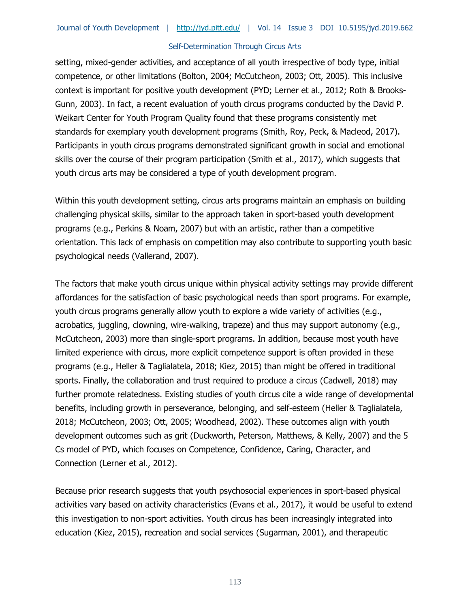setting, mixed-gender activities, and acceptance of all youth irrespective of body type, initial competence, or other limitations (Bolton, 2004; McCutcheon, 2003; Ott, 2005). This inclusive context is important for positive youth development (PYD; Lerner et al., 2012; Roth & Brooks-Gunn, 2003). In fact, a recent evaluation of youth circus programs conducted by the David P. Weikart Center for Youth Program Quality found that these programs consistently met standards for exemplary youth development programs (Smith, Roy, Peck, & Macleod, 2017). Participants in youth circus programs demonstrated significant growth in social and emotional skills over the course of their program participation (Smith et al., 2017), which suggests that youth circus arts may be considered a type of youth development program.

Within this youth development setting, circus arts programs maintain an emphasis on building challenging physical skills, similar to the approach taken in sport-based youth development programs (e.g., Perkins & Noam, 2007) but with an artistic, rather than a competitive orientation. This lack of emphasis on competition may also contribute to supporting youth basic psychological needs (Vallerand, 2007).

The factors that make youth circus unique within physical activity settings may provide different affordances for the satisfaction of basic psychological needs than sport programs. For example, youth circus programs generally allow youth to explore a wide variety of activities (e.g., acrobatics, juggling, clowning, wire-walking, trapeze) and thus may support autonomy (e.g., McCutcheon, 2003) more than single-sport programs. In addition, because most youth have limited experience with circus, more explicit competence support is often provided in these programs (e.g., Heller & Taglialatela, 2018; Kiez, 2015) than might be offered in traditional sports. Finally, the collaboration and trust required to produce a circus (Cadwell, 2018) may further promote relatedness. Existing studies of youth circus cite a wide range of developmental benefits, including growth in perseverance, belonging, and self-esteem (Heller & Taglialatela, 2018; McCutcheon, 2003; Ott, 2005; Woodhead, 2002). These outcomes align with youth development outcomes such as grit (Duckworth, Peterson, Matthews, & Kelly, 2007) and the 5 Cs model of PYD, which focuses on Competence, Confidence, Caring, Character, and Connection (Lerner et al., 2012).

Because prior research suggests that youth psychosocial experiences in sport-based physical activities vary based on activity characteristics (Evans et al., 2017), it would be useful to extend this investigation to non-sport activities. Youth circus has been increasingly integrated into education (Kiez, 2015), recreation and social services (Sugarman, 2001), and therapeutic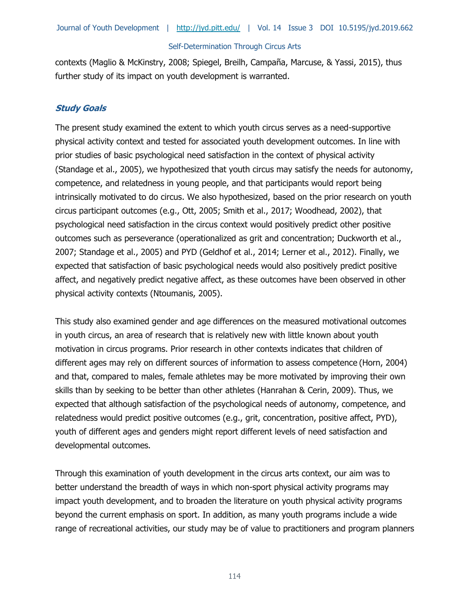contexts (Maglio & McKinstry, 2008; Spiegel, Breilh, Campaña, Marcuse, & Yassi, 2015), thus further study of its impact on youth development is warranted.

#### **Study Goals**

The present study examined the extent to which youth circus serves as a need-supportive physical activity context and tested for associated youth development outcomes. In line with prior studies of basic psychological need satisfaction in the context of physical activity (Standage et al., 2005), we hypothesized that youth circus may satisfy the needs for autonomy, competence, and relatedness in young people, and that participants would report being intrinsically motivated to do circus. We also hypothesized, based on the prior research on youth circus participant outcomes (e.g., Ott, 2005; Smith et al., 2017; Woodhead, 2002), that psychological need satisfaction in the circus context would positively predict other positive outcomes such as perseverance (operationalized as grit and concentration; Duckworth et al., 2007; Standage et al., 2005) and PYD (Geldhof et al., 2014; Lerner et al., 2012). Finally, we expected that satisfaction of basic psychological needs would also positively predict positive affect, and negatively predict negative affect, as these outcomes have been observed in other physical activity contexts (Ntoumanis, 2005).

This study also examined gender and age differences on the measured motivational outcomes in youth circus, an area of research that is relatively new with little known about youth motivation in circus programs. Prior research in other contexts indicates that children of different ages may rely on different sources of information to assess competence (Horn, 2004) and that, compared to males, female athletes may be more motivated by improving their own skills than by seeking to be better than other athletes (Hanrahan & Cerin, 2009). Thus, we expected that although satisfaction of the psychological needs of autonomy, competence, and relatedness would predict positive outcomes (e.g., grit, concentration, positive affect, PYD), youth of different ages and genders might report different levels of need satisfaction and developmental outcomes.

Through this examination of youth development in the circus arts context, our aim was to better understand the breadth of ways in which non-sport physical activity programs may impact youth development, and to broaden the literature on youth physical activity programs beyond the current emphasis on sport. In addition, as many youth programs include a wide range of recreational activities, our study may be of value to practitioners and program planners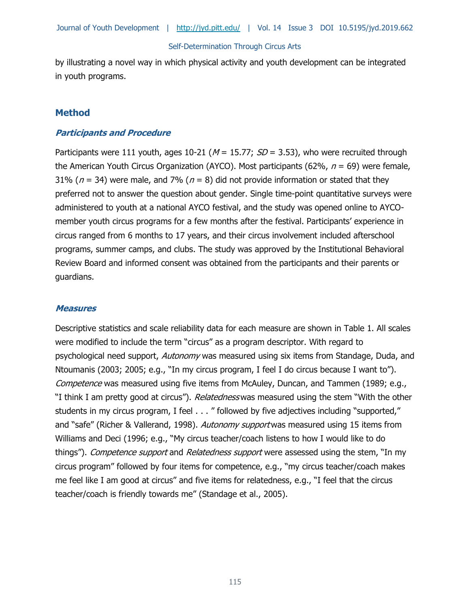by illustrating a novel way in which physical activity and youth development can be integrated in youth programs.

#### **Method**

#### **Participants and Procedure**

Participants were 111 youth, ages 10-21 ( $M = 15.77$ ;  $SD = 3.53$ ), who were recruited through the American Youth Circus Organization (AYCO). Most participants (62%,  $n = 69$ ) were female, 31% ( $n = 34$ ) were male, and 7% ( $n = 8$ ) did not provide information or stated that they preferred not to answer the question about gender. Single time-point quantitative surveys were administered to youth at a national AYCO festival, and the study was opened online to AYCOmember youth circus programs for a few months after the festival. Participants' experience in circus ranged from 6 months to 17 years, and their circus involvement included afterschool programs, summer camps, and clubs. The study was approved by the Institutional Behavioral Review Board and informed consent was obtained from the participants and their parents or guardians.

#### **Measures**

Descriptive statistics and scale reliability data for each measure are shown in Table 1. All scales were modified to include the term "circus" as a program descriptor. With regard to psychological need support, Autonomy was measured using six items from Standage, Duda, and Ntoumanis (2003; 2005; e.g., "In my circus program, I feel I do circus because I want to"). Competence was measured using five items from McAuley, Duncan, and Tammen (1989; e.g., "I think I am pretty good at circus"). *Relatedness* was measured using the stem "With the other students in my circus program, I feel . . . " followed by five adjectives including "supported," and "safe" (Richer & Vallerand, 1998). Autonomy support was measured using 15 items from Williams and Deci (1996; e.g., "My circus teacher/coach listens to how I would like to do things"). Competence support and Relatedness support were assessed using the stem, "In my circus program" followed by four items for competence, e.g., "my circus teacher/coach makes me feel like I am good at circus" and five items for relatedness, e.g., "I feel that the circus teacher/coach is friendly towards me" (Standage et al., 2005).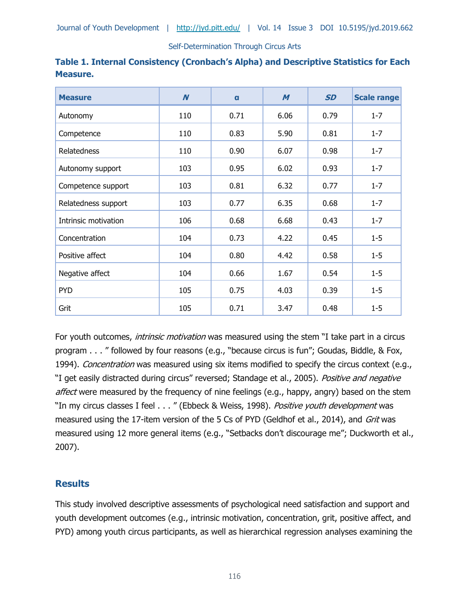| <b>Measure</b>       | $\boldsymbol{N}$ | $\mathbf{a}$ | $\boldsymbol{M}$ | <b>SD</b> | <b>Scale range</b> |
|----------------------|------------------|--------------|------------------|-----------|--------------------|
| Autonomy             | 110              | 0.71         | 6.06             | 0.79      | $1 - 7$            |
| Competence           | 110              | 0.83         | 5.90             | 0.81      | $1 - 7$            |
| Relatedness          | 110              | 0.90         | 6.07             | 0.98      | $1 - 7$            |
| Autonomy support     | 103              | 0.95         | 6.02             | 0.93      | $1 - 7$            |
| Competence support   | 103              | 0.81         | 6.32             | 0.77      | $1 - 7$            |
| Relatedness support  | 103              | 0.77         | 6.35             | 0.68      | $1 - 7$            |
| Intrinsic motivation | 106              | 0.68         | 6.68             | 0.43      | $1 - 7$            |
| Concentration        | 104              | 0.73         | 4.22             | 0.45      | $1 - 5$            |
| Positive affect      | 104              | 0.80         | 4.42             | 0.58      | $1 - 5$            |
| Negative affect      | 104              | 0.66         | 1.67             | 0.54      | $1 - 5$            |
| <b>PYD</b>           | 105              | 0.75         | 4.03             | 0.39      | $1 - 5$            |
| Grit                 | 105              | 0.71         | 3.47             | 0.48      | $1 - 5$            |

| Table 1. Internal Consistency (Cronbach's Alpha) and Descriptive Statistics for Each |  |  |  |
|--------------------------------------------------------------------------------------|--|--|--|
| <b>Measure.</b>                                                                      |  |  |  |

For youth outcomes, *intrinsic motivation* was measured using the stem "I take part in a circus program . . . " followed by four reasons (e.g., "because circus is fun"; Goudas, Biddle, & Fox, 1994). Concentration was measured using six items modified to specify the circus context (e.g., "I get easily distracted during circus" reversed; Standage et al., 2005). Positive and negative affect were measured by the frequency of nine feelings (e.g., happy, angry) based on the stem "In my circus classes I feel . . . " (Ebbeck & Weiss, 1998). Positive youth development was measured using the 17-item version of the 5 Cs of PYD (Geldhof et al., 2014), and Grit was measured using 12 more general items (e.g., "Setbacks don't discourage me"; Duckworth et al., 2007).

## **Results**

This study involved descriptive assessments of psychological need satisfaction and support and youth development outcomes (e.g., intrinsic motivation, concentration, grit, positive affect, and PYD) among youth circus participants, as well as hierarchical regression analyses examining the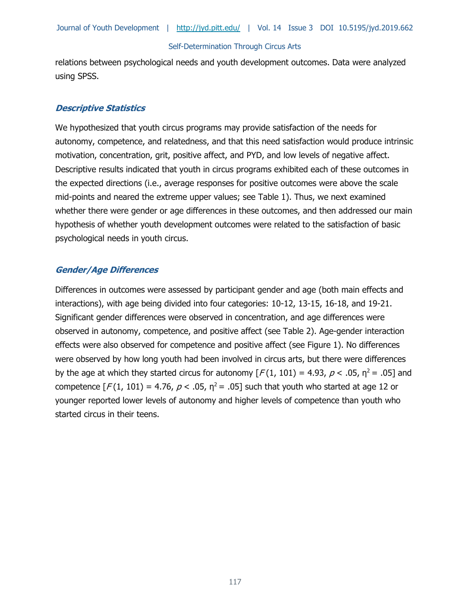relations between psychological needs and youth development outcomes. Data were analyzed using SPSS.

#### **Descriptive Statistics**

We hypothesized that youth circus programs may provide satisfaction of the needs for autonomy, competence, and relatedness, and that this need satisfaction would produce intrinsic motivation, concentration, grit, positive affect, and PYD, and low levels of negative affect. Descriptive results indicated that youth in circus programs exhibited each of these outcomes in the expected directions (i.e., average responses for positive outcomes were above the scale mid-points and neared the extreme upper values; see Table 1). Thus, we next examined whether there were gender or age differences in these outcomes, and then addressed our main hypothesis of whether youth development outcomes were related to the satisfaction of basic psychological needs in youth circus.

#### **Gender/Age Differences**

Differences in outcomes were assessed by participant gender and age (both main effects and interactions), with age being divided into four categories: 10-12, 13-15, 16-18, and 19-21. Significant gender differences were observed in concentration, and age differences were observed in autonomy, competence, and positive affect (see Table 2). Age-gender interaction effects were also observed for competence and positive affect (see Figure 1). No differences were observed by how long youth had been involved in circus arts, but there were differences by the age at which they started circus for autonomy  $[F(1, 101) = 4.93, p < .05, n^2 = .05]$  and competence  $\lceil F(1, 101) = 4.76$ ,  $p < .05$ ,  $\eta^2 = .05$ ] such that youth who started at age 12 or younger reported lower levels of autonomy and higher levels of competence than youth who started circus in their teens.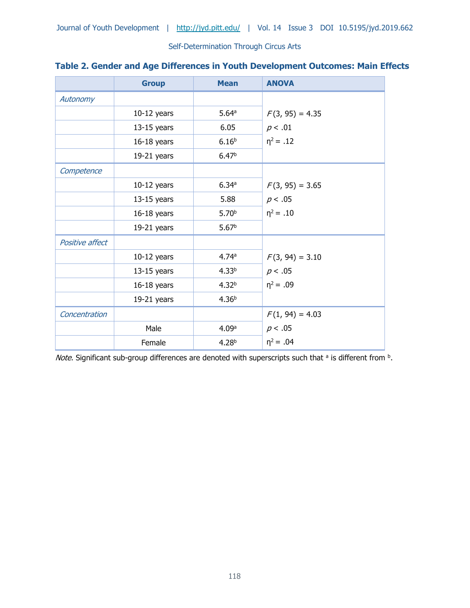|  |  |  |  |  |  |  | Table 2. Gender and Age Differences in Youth Development Outcomes: Main Effects |
|--|--|--|--|--|--|--|---------------------------------------------------------------------------------|
|--|--|--|--|--|--|--|---------------------------------------------------------------------------------|

|                 | <b>Group</b>  | <b>Mean</b>       | <b>ANOVA</b>      |
|-----------------|---------------|-------------------|-------------------|
| Autonomy        |               |                   |                   |
|                 | $10-12$ years | 5.64a             | $F(3, 95) = 4.35$ |
|                 | $13-15$ years | 6.05              | p < .01           |
|                 | $16-18$ years | 6.16 <sup>b</sup> | $\eta^2 = .12$    |
|                 | $19-21$ years | 6.47 <sup>b</sup> |                   |
| Competence      |               |                   |                   |
|                 | $10-12$ years | 6.34a             | $F(3, 95) = 3.65$ |
|                 | $13-15$ years | 5.88              | p < .05           |
|                 | $16-18$ years | 5.70 <sup>b</sup> | $\eta^2 = .10$    |
|                 | $19-21$ years | 5.67 <sup>b</sup> |                   |
| Positive affect |               |                   |                   |
|                 | $10-12$ years | 4.74a             | $F(3, 94) = 3.10$ |
|                 | $13-15$ years | 4.33 <sup>b</sup> | p < .05           |
|                 | $16-18$ years | 4.32 <sup>b</sup> | $\eta^2 = .09$    |
|                 | $19-21$ years | 4.36 <sup>b</sup> |                   |
| Concentration   |               |                   | $F(1, 94) = 4.03$ |
|                 | Male          | 4.09a             | p < .05           |
|                 | Female        | 4.28 <sup>b</sup> | $n^2 = .04$       |

Note. Significant sub-group differences are denoted with superscripts such that <sup>a</sup> is different from <sup>b</sup>.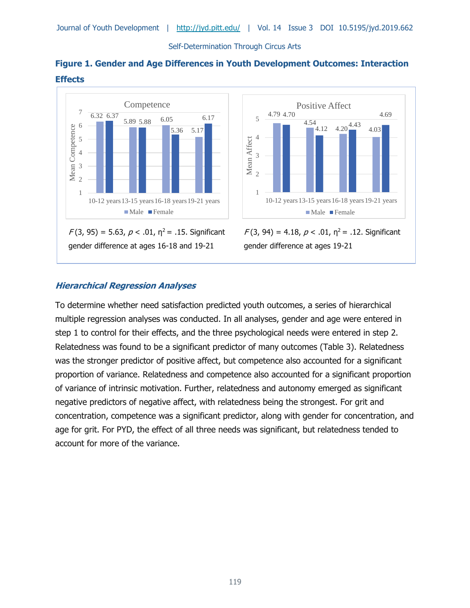



gender difference at ages 16-18 and 19-21



 $F(3, 94) = 4.18$ ,  $p < .01$ ,  $p^2 = .12$ . Significant gender difference at ages 19-21

## **Hierarchical Regression Analyses**

I

To determine whether need satisfaction predicted youth outcomes, a series of hierarchical multiple regression analyses was conducted. In all analyses, gender and age were entered in step 1 to control for their effects, and the three psychological needs were entered in step 2. Relatedness was found to be a significant predictor of many outcomes (Table 3). Relatedness was the stronger predictor of positive affect, but competence also accounted for a significant proportion of variance. Relatedness and competence also accounted for a significant proportion of variance of intrinsic motivation. Further, relatedness and autonomy emerged as significant negative predictors of negative affect, with relatedness being the strongest. For grit and concentration, competence was a significant predictor, along with gender for concentration, and age for grit. For PYD, the effect of all three needs was significant, but relatedness tended to account for more of the variance.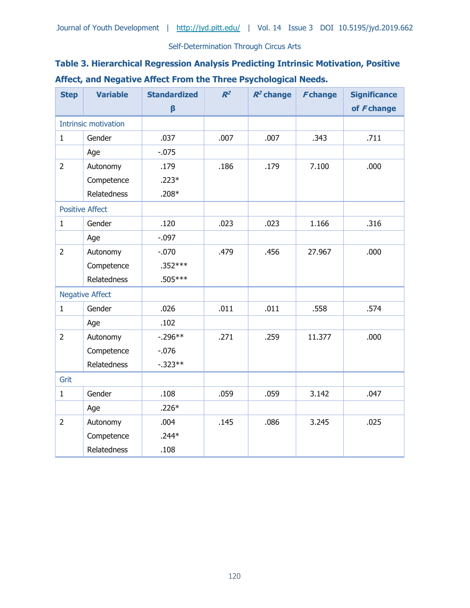## **Table 3. Hierarchical Regression Analysis Predicting Intrinsic Motivation, Positive Affect, and Negative Affect From the Three Psychological Needs.**

| <b>Step</b>                 | <b>Variable</b>        | <b>Standardized</b> | $R^2$ | $R^2$ change | Fchange | <b>Significance</b> |
|-----------------------------|------------------------|---------------------|-------|--------------|---------|---------------------|
|                             |                        | $\beta$             |       |              |         | of Fchange          |
| <b>Intrinsic motivation</b> |                        |                     |       |              |         |                     |
| $\mathbf{1}$                | Gender                 | .037                | .007  | .007         | .343    | .711                |
|                             | Age                    | $-0.075$            |       |              |         |                     |
| $\overline{2}$              | Autonomy               | .179                | .186  | .179         | 7.100   | .000                |
|                             | Competence             | $.223*$             |       |              |         |                     |
|                             | Relatedness            | $.208*$             |       |              |         |                     |
|                             | <b>Positive Affect</b> |                     |       |              |         |                     |
| $\mathbf{1}$                | Gender                 | .120                | .023  | .023         | 1.166   | .316                |
|                             | Age                    | $-.097$             |       |              |         |                     |
| $\overline{2}$              | Autonomy               | $-.070$             | .479  | .456         | 27.967  | .000                |
|                             | Competence             | $.352***$           |       |              |         |                     |
|                             | Relatedness            | .505***             |       |              |         |                     |
|                             | <b>Negative Affect</b> |                     |       |              |         |                     |
| $\mathbf{1}$                | Gender                 | .026                | .011  | .011         | .558    | .574                |
|                             | Age                    | .102                |       |              |         |                     |
| $\overline{2}$              | Autonomy               | $-.296**$           | .271  | .259         | 11.377  | .000                |
|                             | Competence             | $-.076$             |       |              |         |                     |
|                             | <b>Relatedness</b>     | $-.323**$           |       |              |         |                     |
| Grit                        |                        |                     |       |              |         |                     |
| $\mathbf 1$                 | Gender                 | .108                | .059  | .059         | 3.142   | .047                |
|                             | Age                    | $.226*$             |       |              |         |                     |
| $\overline{2}$              | Autonomy               | .004                | .145  | .086         | 3.245   | .025                |
|                             | Competence             | $.244*$             |       |              |         |                     |
|                             | Relatedness            | .108                |       |              |         |                     |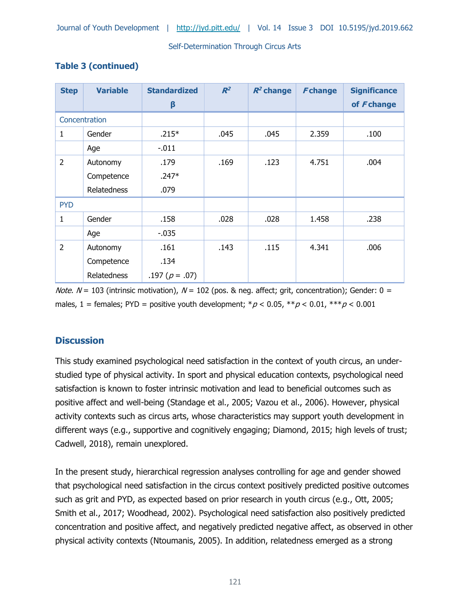| <b>Step</b>    | <b>Variable</b>    | <b>Standardized</b> | $R^2$ | $R^2$ change | <b>Fchange</b> | <b>Significance</b> |
|----------------|--------------------|---------------------|-------|--------------|----------------|---------------------|
|                |                    | β                   |       |              |                | of Fchange          |
|                | Concentration      |                     |       |              |                |                     |
| 1              | Gender             | $.215*$             | .045  | .045         | 2.359          | .100                |
|                | Age                | $-.011$             |       |              |                |                     |
| $\overline{2}$ | Autonomy           | .179                | .169  | .123         | 4.751          | .004                |
|                | Competence         | $.247*$             |       |              |                |                     |
|                | Relatedness        | .079                |       |              |                |                     |
| <b>PYD</b>     |                    |                     |       |              |                |                     |
| 1              | Gender             | .158                | .028  | .028         | 1.458          | .238                |
|                | Age                | $-.035$             |       |              |                |                     |
| $\overline{2}$ | Autonomy           | .161                | .143  | .115         | 4.341          | .006                |
|                | Competence         | .134                |       |              |                |                     |
|                | <b>Relatedness</b> | .197 ( $p = .07$ )  |       |              |                |                     |

## **Table 3 (continued)**

*Note.*  $N = 103$  (intrinsic motivation),  $N = 102$  (pos. & neg. affect; grit, concentration); Gender: 0 = males, 1 = females; PYD = positive youth development;  ${}^*\rho$  < 0.05,  ${}^{**}\rho$  < 0.01,  ${}^{***}\rho$  < 0.001

## **Discussion**

This study examined psychological need satisfaction in the context of youth circus, an understudied type of physical activity. In sport and physical education contexts, psychological need satisfaction is known to foster intrinsic motivation and lead to beneficial outcomes such as positive affect and well-being (Standage et al., 2005; Vazou et al., 2006). However, physical activity contexts such as circus arts, whose characteristics may support youth development in different ways (e.g., supportive and cognitively engaging; Diamond, 2015; high levels of trust; Cadwell, 2018), remain unexplored.

In the present study, hierarchical regression analyses controlling for age and gender showed that psychological need satisfaction in the circus context positively predicted positive outcomes such as grit and PYD, as expected based on prior research in youth circus (e.g., Ott, 2005; Smith et al., 2017; Woodhead, 2002). Psychological need satisfaction also positively predicted concentration and positive affect, and negatively predicted negative affect, as observed in other physical activity contexts (Ntoumanis, 2005). In addition, relatedness emerged as a strong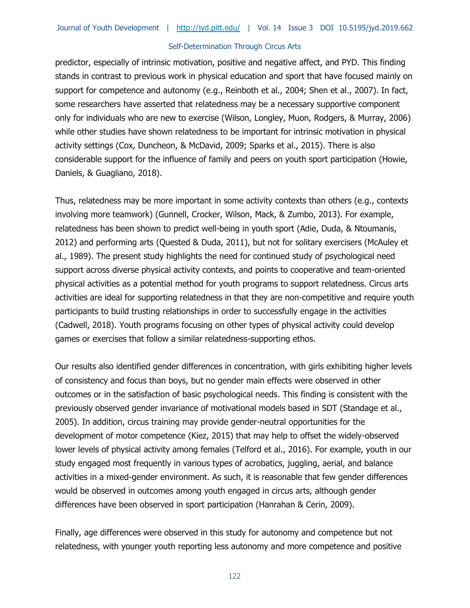predictor, especially of intrinsic motivation, positive and negative affect, and PYD. This finding stands in contrast to previous work in physical education and sport that have focused mainly on support for competence and autonomy (e.g., Reinboth et al., 2004; Shen et al., 2007). In fact, some researchers have asserted that relatedness may be a necessary supportive component only for individuals who are new to exercise (Wilson, Longley, Muon, Rodgers, & Murray, 2006) while other studies have shown relatedness to be important for intrinsic motivation in physical activity settings (Cox, Duncheon, & McDavid, 2009; Sparks et al., 2015). There is also considerable support for the influence of family and peers on youth sport participation (Howie, Daniels, & Guagliano, 2018).

Thus, relatedness may be more important in some activity contexts than others (e.g., contexts involving more teamwork) (Gunnell, Crocker, Wilson, Mack, & Zumbo, 2013). For example, relatedness has been shown to predict well-being in youth sport (Adie, Duda, & Ntoumanis, 2012) and performing arts (Quested & Duda, 2011), but not for solitary exercisers (McAuley et al., 1989). The present study highlights the need for continued study of psychological need support across diverse physical activity contexts, and points to cooperative and team-oriented physical activities as a potential method for youth programs to support relatedness. Circus arts activities are ideal for supporting relatedness in that they are non-competitive and require youth participants to build trusting relationships in order to successfully engage in the activities (Cadwell, 2018). Youth programs focusing on other types of physical activity could develop games or exercises that follow a similar relatedness-supporting ethos.

Our results also identified gender differences in concentration, with girls exhibiting higher levels of consistency and focus than boys, but no gender main effects were observed in other outcomes or in the satisfaction of basic psychological needs. This finding is consistent with the previously observed gender invariance of motivational models based in SDT (Standage et al., 2005). In addition, circus training may provide gender-neutral opportunities for the development of motor competence (Kiez, 2015) that may help to offset the widely-observed lower levels of physical activity among females (Telford et al., 2016). For example, youth in our study engaged most frequently in various types of acrobatics, juggling, aerial, and balance activities in a mixed-gender environment. As such, it is reasonable that few gender differences would be observed in outcomes among youth engaged in circus arts, although gender differences have been observed in sport participation (Hanrahan & Cerin, 2009).

Finally, age differences were observed in this study for autonomy and competence but not relatedness, with younger youth reporting less autonomy and more competence and positive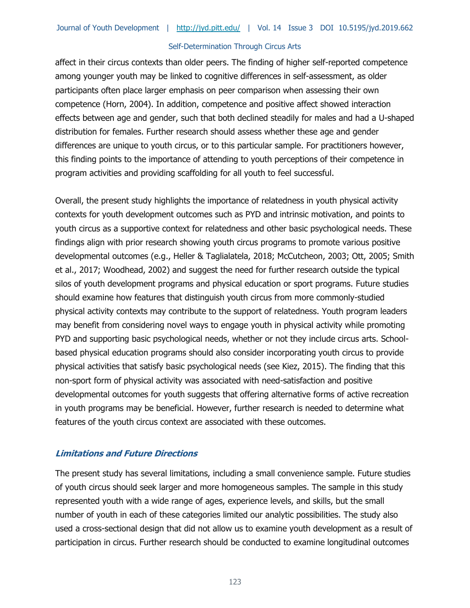affect in their circus contexts than older peers. The finding of higher self-reported competence among younger youth may be linked to cognitive differences in self-assessment, as older participants often place larger emphasis on peer comparison when assessing their own competence (Horn, 2004). In addition, competence and positive affect showed interaction effects between age and gender, such that both declined steadily for males and had a U-shaped distribution for females. Further research should assess whether these age and gender differences are unique to youth circus, or to this particular sample. For practitioners however, this finding points to the importance of attending to youth perceptions of their competence in program activities and providing scaffolding for all youth to feel successful.

Overall, the present study highlights the importance of relatedness in youth physical activity contexts for youth development outcomes such as PYD and intrinsic motivation, and points to youth circus as a supportive context for relatedness and other basic psychological needs. These findings align with prior research showing youth circus programs to promote various positive developmental outcomes (e.g., Heller & Taglialatela, 2018; McCutcheon, 2003; Ott, 2005; Smith et al., 2017; Woodhead, 2002) and suggest the need for further research outside the typical silos of youth development programs and physical education or sport programs. Future studies should examine how features that distinguish youth circus from more commonly-studied physical activity contexts may contribute to the support of relatedness. Youth program leaders may benefit from considering novel ways to engage youth in physical activity while promoting PYD and supporting basic psychological needs, whether or not they include circus arts. Schoolbased physical education programs should also consider incorporating youth circus to provide physical activities that satisfy basic psychological needs (see Kiez, 2015). The finding that this non-sport form of physical activity was associated with need-satisfaction and positive developmental outcomes for youth suggests that offering alternative forms of active recreation in youth programs may be beneficial. However, further research is needed to determine what features of the youth circus context are associated with these outcomes.

#### **Limitations and Future Directions**

The present study has several limitations, including a small convenience sample. Future studies of youth circus should seek larger and more homogeneous samples. The sample in this study represented youth with a wide range of ages, experience levels, and skills, but the small number of youth in each of these categories limited our analytic possibilities. The study also used a cross-sectional design that did not allow us to examine youth development as a result of participation in circus. Further research should be conducted to examine longitudinal outcomes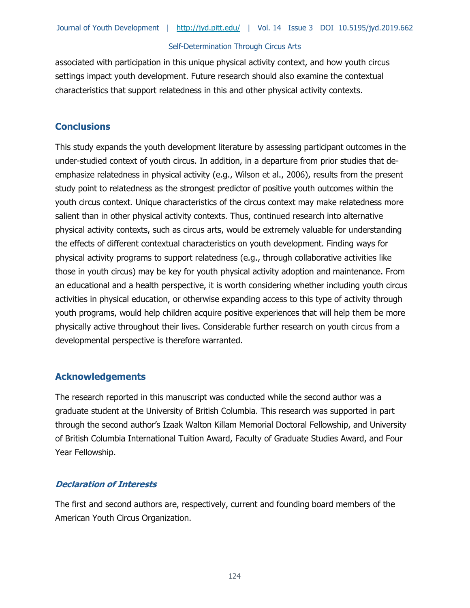associated with participation in this unique physical activity context, and how youth circus settings impact youth development. Future research should also examine the contextual characteristics that support relatedness in this and other physical activity contexts.

## **Conclusions**

This study expands the youth development literature by assessing participant outcomes in the under-studied context of youth circus. In addition, in a departure from prior studies that deemphasize relatedness in physical activity (e.g., Wilson et al., 2006), results from the present study point to relatedness as the strongest predictor of positive youth outcomes within the youth circus context. Unique characteristics of the circus context may make relatedness more salient than in other physical activity contexts. Thus, continued research into alternative physical activity contexts, such as circus arts, would be extremely valuable for understanding the effects of different contextual characteristics on youth development. Finding ways for physical activity programs to support relatedness (e.g., through collaborative activities like those in youth circus) may be key for youth physical activity adoption and maintenance. From an educational and a health perspective, it is worth considering whether including youth circus activities in physical education, or otherwise expanding access to this type of activity through youth programs, would help children acquire positive experiences that will help them be more physically active throughout their lives. Considerable further research on youth circus from a developmental perspective is therefore warranted.

## **Acknowledgements**

The research reported in this manuscript was conducted while the second author was a graduate student at the University of British Columbia. This research was supported in part through the second author's Izaak Walton Killam Memorial Doctoral Fellowship, and University of British Columbia International Tuition Award, Faculty of Graduate Studies Award, and Four Year Fellowship.

#### **Declaration of Interests**

The first and second authors are, respectively, current and founding board members of the American Youth Circus Organization.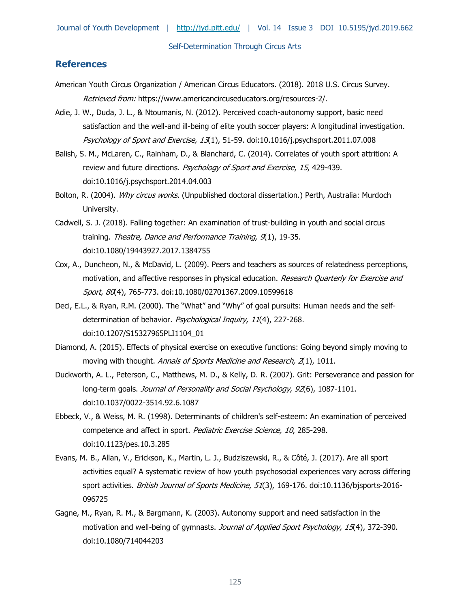#### **References**

- American Youth Circus Organization / American Circus Educators. (2018). 2018 U.S. Circus Survey. Retrieved from: https://www.americancircuseducators.org/resources-2/.
- Adie, J. W., Duda, J. L., & Ntoumanis, N. (2012). Perceived coach-autonomy support, basic need satisfaction and the well-and ill-being of elite youth soccer players: A longitudinal investigation. Psychology of Sport and Exercise, 13(1), 51-59. doi:10.1016/j.psychsport.2011.07.008
- Balish, S. M., McLaren, C., Rainham, D., & Blanchard, C. (2014). Correlates of youth sport attrition: A review and future directions. Psychology of Sport and Exercise, 15, 429-439. doi:10.1016/j.psychsport.2014.04.003
- Bolton, R. (2004). Why circus works. (Unpublished doctoral dissertation.) Perth, Australia: Murdoch University.
- Cadwell, S. J. (2018). Falling together: An examination of trust-building in youth and social circus training. Theatre, Dance and Performance Training, 9(1), 19-35. doi:10.1080/19443927.2017.1384755
- Cox, A., Duncheon, N., & McDavid, L. (2009). Peers and teachers as sources of relatedness perceptions, motivation, and affective responses in physical education. Research Quarterly for Exercise and Sport, 80(4), 765-773. doi:10.1080/02701367.2009.10599618
- Deci, E.L., & Ryan, R.M. (2000). The "What" and "Why" of goal pursuits: Human needs and the selfdetermination of behavior. Psychological Inquiry, 11(4), 227-268. doi:10.1207/S15327965PLI1104\_01
- Diamond, A. (2015). Effects of physical exercise on executive functions: Going beyond simply moving to moving with thought. Annals of Sports Medicine and Research, 2(1), 1011.
- Duckworth, A. L., Peterson, C., Matthews, M. D., & Kelly, D. R. (2007). Grit: Perseverance and passion for long-term goals. Journal of Personality and Social Psychology, 92(6), 1087-1101. doi:10.1037/0022-3514.92.6.1087
- Ebbeck, V., & Weiss, M. R. (1998). Determinants of children's self-esteem: An examination of perceived competence and affect in sport. Pediatric Exercise Science, 10, 285-298. doi:10.1123/pes.10.3.285
- Evans, M. B., Allan, V., Erickson, K., Martin, L. J., Budziszewski, R., & Côté, J. (2017). Are all sport activities equal? A systematic review of how youth psychosocial experiences vary across differing sport activities. British Journal of Sports Medicine, 51(3), 169-176. doi:10.1136/bjsports-2016-096725
- Gagne, M., Ryan, R. M., & Bargmann, K. (2003). Autonomy support and need satisfaction in the motivation and well-being of gymnasts. Journal of Applied Sport Psychology, 15(4), 372-390. doi:10.1080/714044203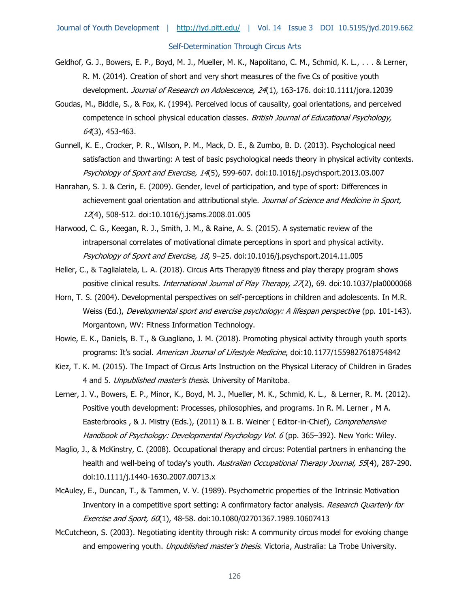- Geldhof, G. J., Bowers, E. P., Boyd, M. J., Mueller, M. K., Napolitano, C. M., Schmid, K. L., . . . & Lerner, R. M. (2014). Creation of short and very short measures of the five Cs of positive youth development. Journal of Research on Adolescence, 24(1), 163-176. doi:10.1111/jora.12039
- Goudas, M., Biddle, S., & Fox, K. (1994). Perceived locus of causality, goal orientations, and perceived competence in school physical education classes. British Journal of Educational Psychology, 64(3), 453-463.
- Gunnell, K. E., Crocker, P. R., Wilson, P. M., Mack, D. E., & Zumbo, B. D. (2013). Psychological need satisfaction and thwarting: A test of basic psychological needs theory in physical activity contexts. Psychology of Sport and Exercise, 14(5), 599-607. doi:10.1016/j.psychsport.2013.03.007
- Hanrahan, S. J. & Cerin, E. (2009). Gender, level of participation, and type of sport: Differences in achievement goal orientation and attributional style. Journal of Science and Medicine in Sport, 12(4), 508-512. doi:10.1016/j.jsams.2008.01.005
- Harwood, C. G., Keegan, R. J., Smith, J. M., & Raine, A. S. (2015). A systematic review of the intrapersonal correlates of motivational climate perceptions in sport and physical activity. Psychology of Sport and Exercise, 18, 9–25. doi:10.1016/j.psychsport.2014.11.005
- Heller, C., & Taglialatela, L. A. (2018). Circus Arts Therapy® fitness and play therapy program shows positive clinical results. *International Journal of Play Therapy, 27*(2), 69. doi:10.1037/pla0000068
- Horn, T. S. (2004). Developmental perspectives on self-perceptions in children and adolescents. In M.R. Weiss (Ed.), *Developmental sport and exercise psychology: A lifespan perspective* (pp. 101-143). Morgantown, WV: Fitness Information Technology.
- Howie, E. K., Daniels, B. T., & Guagliano, J. M. (2018). Promoting physical activity through youth sports programs: It's social. American Journal of Lifestyle Medicine, doi:10.1177/1559827618754842
- Kiez, T. K. M. (2015). The Impact of Circus Arts Instruction on the Physical Literacy of Children in Grades 4 and 5. Unpublished master's thesis. University of Manitoba.
- Lerner, J. V., Bowers, E. P., Minor, K., Boyd, M. J., Mueller, M. K., Schmid, K. L., & Lerner, R. M. (2012). Positive youth development: Processes, philosophies, and programs. In R. M. Lerner , M A. Easterbrooks, & J. Mistry (Eds.), (2011) & I. B. Weiner (Editor-in-Chief), Comprehensive Handbook of Psychology: Developmental Psychology Vol. 6 (pp. 365–392). New York: Wiley.
- Maglio, J., & McKinstry, C. (2008). Occupational therapy and circus: Potential partners in enhancing the health and well-being of today's youth. Australian Occupational Therapy Journal, 55(4), 287-290. doi:10.1111/j.1440-1630.2007.00713.x
- McAuley, E., Duncan, T., & Tammen, V. V. (1989). Psychometric properties of the Intrinsic Motivation Inventory in a competitive sport setting: A confirmatory factor analysis. Research Quarterly for Exercise and Sport, 60(1), 48-58. doi:10.1080/02701367.1989.10607413
- McCutcheon, S. (2003). Negotiating identity through risk: A community circus model for evoking change and empowering youth. *Unpublished master's thesis*. Victoria, Australia: La Trobe University.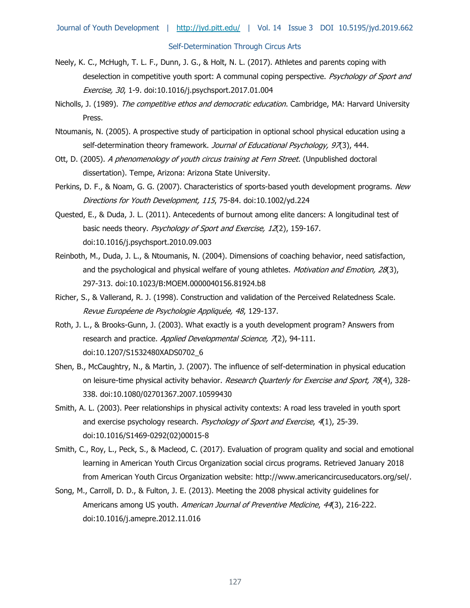- Neely, K. C., McHugh, T. L. F., Dunn, J. G., & Holt, N. L. (2017). Athletes and parents coping with deselection in competitive youth sport: A communal coping perspective. Psychology of Sport and Exercise, 30, 1-9. doi:10.1016/j.psychsport.2017.01.004
- Nicholls, J. (1989). The competitive ethos and democratic education. Cambridge, MA: Harvard University Press.
- Ntoumanis, N. (2005). A prospective study of participation in optional school physical education using a self-determination theory framework. Journal of Educational Psychology, 97(3), 444.
- Ott, D. (2005). A phenomenology of youth circus training at Fern Street. (Unpublished doctoral dissertation). Tempe, Arizona: Arizona State University.
- Perkins, D. F., & Noam, G. G. (2007). Characteristics of sports-based youth development programs. New Directions for Youth Development, 115, 75-84. doi:10.1002/yd.224
- Quested, E., & Duda, J. L. (2011). Antecedents of burnout among elite dancers: A longitudinal test of basic needs theory. Psychology of Sport and Exercise, 12(2), 159-167. doi:10.1016/j.psychsport.2010.09.003
- Reinboth, M., Duda, J. L., & Ntoumanis, N. (2004). Dimensions of coaching behavior, need satisfaction, and the psychological and physical welfare of young athletes. Motivation and Emotion, 28(3), 297-313. doi:10.1023/B:MOEM.0000040156.81924.b8
- Richer, S., & Vallerand, R. J. (1998). Construction and validation of the Perceived Relatedness Scale. Revue Européene de Psychologie Appliquée, 48, 129-137.
- Roth, J. L., & Brooks-Gunn, J. (2003). What exactly is a youth development program? Answers from research and practice. Applied Developmental Science, 7(2), 94-111. doi:10.1207/S1532480XADS0702\_6
- Shen, B., McCaughtry, N., & Martin, J. (2007). The influence of self-determination in physical education on leisure-time physical activity behavior. Research Quarterly for Exercise and Sport, 78(4), 328-338. doi:10.1080/02701367.2007.10599430
- Smith, A. L. (2003). Peer relationships in physical activity contexts: A road less traveled in youth sport and exercise psychology research. Psychology of Sport and Exercise, 4(1), 25-39. doi:10.1016/S1469-0292(02)00015-8
- Smith, C., Roy, L., Peck, S., & Macleod, C. (2017). Evaluation of program quality and social and emotional learning in American Youth Circus Organization social circus programs. Retrieved January 2018 from American Youth Circus Organization website: http://www.americancircuseducators.org/sel/.
- Song, M., Carroll, D. D., & Fulton, J. E. (2013). Meeting the 2008 physical activity guidelines for Americans among US youth. American Journal of Preventive Medicine, 44(3), 216-222. doi:10.1016/j.amepre.2012.11.016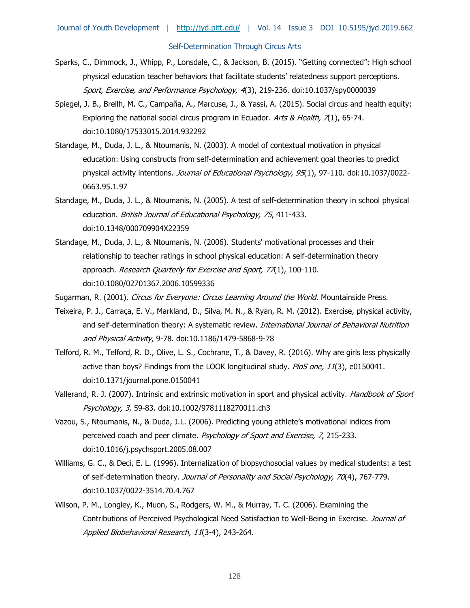- Sparks, C., Dimmock, J., Whipp, P., Lonsdale, C., & Jackson, B. (2015). "Getting connected": High school physical education teacher behaviors that facilitate students' relatedness support perceptions. Sport, Exercise, and Performance Psychology, 4(3), 219-236. doi:10.1037/spy0000039
- Spiegel, J. B., Breilh, M. C., Campaña, A., Marcuse, J., & Yassi, A. (2015). Social circus and health equity: Exploring the national social circus program in Ecuador. Arts & Health,  $\pi$ 1), 65-74. doi:10.1080/17533015.2014.932292
- Standage, M., Duda, J. L., & Ntoumanis, N. (2003). A model of contextual motivation in physical education: Using constructs from self-determination and achievement goal theories to predict physical activity intentions. Journal of Educational Psychology, 95(1), 97-110. doi:10.1037/0022-0663.95.1.97
- Standage, M., Duda, J. L., & Ntoumanis, N. (2005). A test of self-determination theory in school physical education. British Journal of Educational Psychology, 75, 411-433. doi:10.1348/000709904X22359
- Standage, M., Duda, J. L., & Ntoumanis, N. (2006). Students' motivational processes and their relationship to teacher ratings in school physical education: A self-determination theory approach. Research Quarterly for Exercise and Sport, 77(1), 100-110. doi:10.1080/02701367.2006.10599336

Sugarman, R. (2001). Circus for Everyone: Circus Learning Around the World. Mountainside Press.

- Teixeira, P. J., Carraça, E. V., Markland, D., Silva, M. N., & Ryan, R. M. (2012). Exercise, physical activity, and self-determination theory: A systematic review. International Journal of Behavioral Nutrition and Physical Activity, 9-78. doi:10.1186/1479-5868-9-78
- Telford, R. M., Telford, R. D., Olive, L. S., Cochrane, T., & Davey, R. (2016). Why are girls less physically active than boys? Findings from the LOOK longitudinal study. PloS one, 11(3), e0150041. doi:10.1371/journal.pone.0150041
- Vallerand, R. J. (2007). Intrinsic and extrinsic motivation in sport and physical activity. *Handbook of Sport* Psychology, 3, 59-83. doi:10.1002/9781118270011.ch3
- Vazou, S., Ntoumanis, N., & Duda, J.L. (2006). Predicting young athlete's motivational indices from perceived coach and peer climate. Psychology of Sport and Exercise, 7, 215-233. doi:10.1016/j.psychsport.2005.08.007
- Williams, G. C., & Deci, E. L. (1996). Internalization of biopsychosocial values by medical students: a test of self-determination theory. Journal of Personality and Social Psychology, 70(4), 767-779. doi:10.1037/0022-3514.70.4.767
- Wilson, P. M., Longley, K., Muon, S., Rodgers, W. M., & Murray, T. C. (2006). Examining the Contributions of Perceived Psychological Need Satisfaction to Well-Being in Exercise. Journal of Applied Biobehavioral Research, 11(3‐4), 243-264.